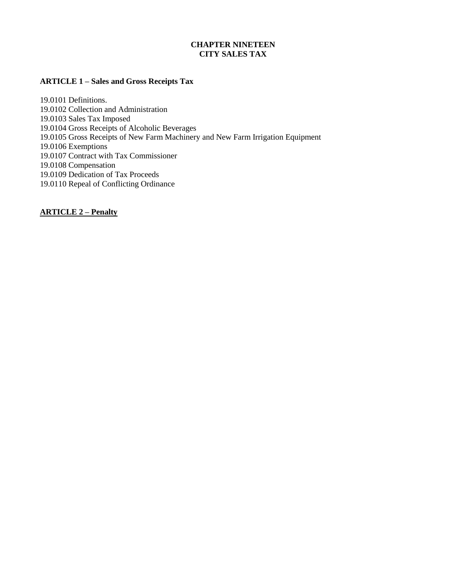#### **CHAPTER NINETEEN CITY SALES TAX**

#### **ARTICLE 1 – Sales and Gross Receipts Tax**

19.0101 Definitions. 19.0102 Collection and Administration 19.0103 Sales Tax Imposed 19.0104 Gross Receipts of Alcoholic Beverages 19.0105 Gross Receipts of New Farm Machinery and New Farm Irrigation Equipment 19.0106 Exemptions 19.0107 Contract with Tax Commissioner 19.0108 Compensation 19.0109 Dedication of Tax Proceeds 19.0110 Repeal of Conflicting Ordinance

**ARTICLE 2 – Penalty**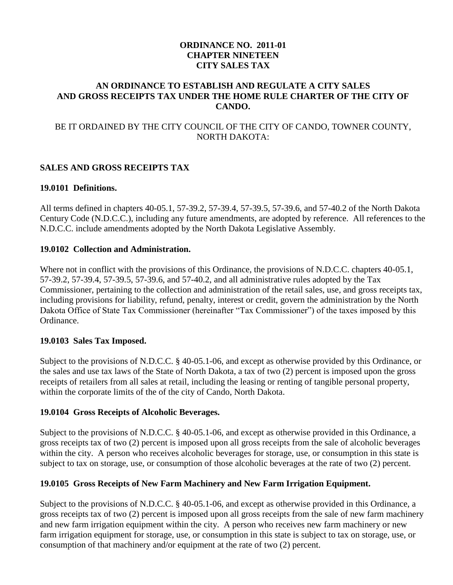# **ORDINANCE NO. 2011-01 CHAPTER NINETEEN CITY SALES TAX**

### **AN ORDINANCE TO ESTABLISH AND REGULATE A CITY SALES AND GROSS RECEIPTS TAX UNDER THE HOME RULE CHARTER OF THE CITY OF CANDO.**

# BE IT ORDAINED BY THE CITY COUNCIL OF THE CITY OF CANDO, TOWNER COUNTY, NORTH DAKOTA:

# **SALES AND GROSS RECEIPTS TAX**

### **19.0101 Definitions.**

All terms defined in chapters 40-05.1, 57-39.2, 57-39.4, 57-39.5, 57-39.6, and 57-40.2 of the North Dakota Century Code (N.D.C.C.), including any future amendments, are adopted by reference. All references to the N.D.C.C. include amendments adopted by the North Dakota Legislative Assembly.

### **19.0102 Collection and Administration.**

Where not in conflict with the provisions of this Ordinance, the provisions of N.D.C.C. chapters 40-05.1, 57-39.2, 57-39.4, 57-39.5, 57-39.6, and 57-40.2, and all administrative rules adopted by the Tax Commissioner, pertaining to the collection and administration of the retail sales, use, and gross receipts tax, including provisions for liability, refund, penalty, interest or credit, govern the administration by the North Dakota Office of State Tax Commissioner (hereinafter "Tax Commissioner") of the taxes imposed by this Ordinance.

# **19.0103 Sales Tax Imposed.**

Subject to the provisions of N.D.C.C. § 40-05.1-06, and except as otherwise provided by this Ordinance, or the sales and use tax laws of the State of North Dakota, a tax of two (2) percent is imposed upon the gross receipts of retailers from all sales at retail, including the leasing or renting of tangible personal property, within the corporate limits of the of the city of Cando, North Dakota.

# **19.0104 Gross Receipts of Alcoholic Beverages.**

Subject to the provisions of N.D.C.C. § 40-05.1-06, and except as otherwise provided in this Ordinance, a gross receipts tax of two (2) percent is imposed upon all gross receipts from the sale of alcoholic beverages within the city. A person who receives alcoholic beverages for storage, use, or consumption in this state is subject to tax on storage, use, or consumption of those alcoholic beverages at the rate of two (2) percent.

# **19.0105 Gross Receipts of New Farm Machinery and New Farm Irrigation Equipment.**

Subject to the provisions of N.D.C.C. § 40-05.1-06, and except as otherwise provided in this Ordinance, a gross receipts tax of two (2) percent is imposed upon all gross receipts from the sale of new farm machinery and new farm irrigation equipment within the city. A person who receives new farm machinery or new farm irrigation equipment for storage, use, or consumption in this state is subject to tax on storage, use, or consumption of that machinery and/or equipment at the rate of two (2) percent.